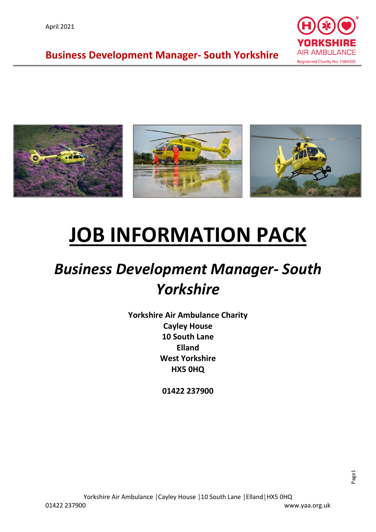



# **JOB INFORMATION PACK**

## *Business Development Manager- South Yorkshire*

**Yorkshire Air Ambulance Charity Cayley House 10 South Lane Elland West Yorkshire HX5 0HQ**

**01422 237900**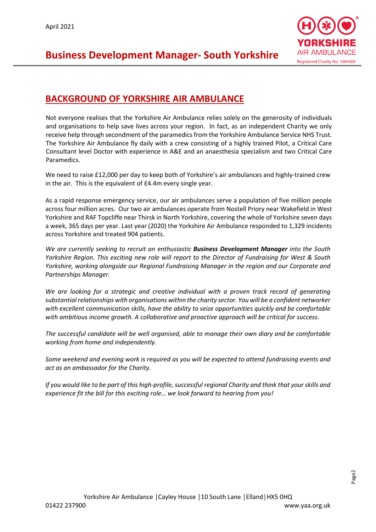

#### **BACKGROUND OF YORKSHIRE AIR AMBULANCE**

Not everyone realises that the Yorkshire Air Ambulance relies solely on the generosity of individuals and organisations to help save lives across your region. In fact, as an independent Charity we only receive help through secondment of the paramedics from the Yorkshire Ambulance Service NHS Trust. The Yorkshire Air Ambulance fly daily with a crew consisting of a highly trained Pilot, a Critical Care Consultant level Doctor with experience in A&E and an anaesthesia specialism and two Critical Care Paramedics.

We need to raise £12,000 per day to keep both of Yorkshire's air ambulances and highly-trained crew in the air. This is the equivalent of £4.4m every single year.

As a rapid response emergency service, our air ambulances serve a population of five million people across four million acres. Our two air ambulances operate from Nostell Priory near Wakefield in West Yorkshire and RAF Topcliffe near Thirsk in North Yorkshire, covering the whole of Yorkshire seven days a week, 365 days per year. Last year (2020) the Yorkshire Air Ambulance responded to 1,329 incidents across Yorkshire and treated 904 patients.

*We are currently seeking to recruit an enthusiastic Business Development Manager into the South Yorkshire Region. This exciting new role will report to the Director of Fundraising for West & South Yorkshire, working alongside our Regional Fundraising Manager in the region and our Corporate and Partnerships Manager.* 

*We are looking for a strategic and creative individual with a proven track record of generating substantial relationships with organisations within the charity sector. You will be a confident networker with excellent communication skills, have the ability to seize opportunities quickly and be comfortable with ambitious income growth. A collaborative and proactive approach will be critical for success.* 

*The successful candidate will be well organised, able to manage their own diary and be comfortable working from home and independently.* 

*Some weekend and evening work is required as you will be expected to attend fundraising events and act as an ambassador for the Charity.* 

*If you would like to be part of this high-profile, successful regional Charity and think that your skills and experience fit the bill for this exciting role… we look forward to hearing from you!*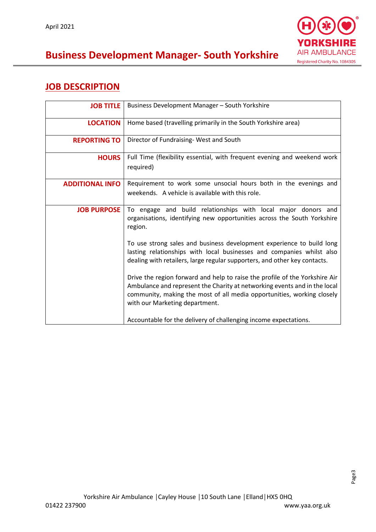

### **JOB DESCRIPTION**

| <b>JOB TITLE</b>       | Business Development Manager - South Yorkshire                                                                                                                                                                                                                       |
|------------------------|----------------------------------------------------------------------------------------------------------------------------------------------------------------------------------------------------------------------------------------------------------------------|
| <b>LOCATION</b>        | Home based (travelling primarily in the South Yorkshire area)                                                                                                                                                                                                        |
| <b>REPORTING TO</b>    | Director of Fundraising-West and South                                                                                                                                                                                                                               |
| <b>HOURS</b>           | Full Time (flexibility essential, with frequent evening and weekend work<br>required)                                                                                                                                                                                |
| <b>ADDITIONAL INFO</b> | Requirement to work some unsocial hours both in the evenings and<br>weekends. A vehicle is available with this role.                                                                                                                                                 |
| <b>JOB PURPOSE</b>     | To engage and build relationships with local major donors and<br>organisations, identifying new opportunities across the South Yorkshire<br>region.<br>To use strong sales and business development experience to build long                                         |
|                        | lasting relationships with local businesses and companies whilst also<br>dealing with retailers, large regular supporters, and other key contacts.                                                                                                                   |
|                        | Drive the region forward and help to raise the profile of the Yorkshire Air<br>Ambulance and represent the Charity at networking events and in the local<br>community, making the most of all media opportunities, working closely<br>with our Marketing department. |
|                        | Accountable for the delivery of challenging income expectations.                                                                                                                                                                                                     |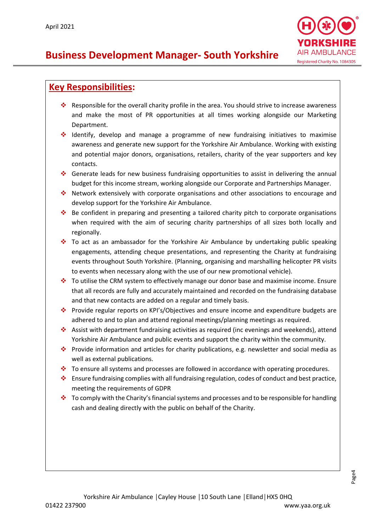

#### **Key Responsibilities:**

- Responsible for the overall charity profile in the area. You should strive to increase awareness and make the most of PR opportunities at all times working alongside our Marketing Department.
- $\div$  Identify, develop and manage a programme of new fundraising initiatives to maximise awareness and generate new support for the Yorkshire Air Ambulance. Working with existing and potential major donors, organisations, retailers, charity of the year supporters and key contacts.
- Generate leads for new business fundraising opportunities to assist in delivering the annual budget for this income stream, working alongside our Corporate and Partnerships Manager.
- \* Network extensively with corporate organisations and other associations to encourage and develop support for the Yorkshire Air Ambulance.
- Be confident in preparing and presenting a tailored charity pitch to corporate organisations when required with the aim of securing charity partnerships of all sizes both locally and regionally.
- \* To act as an ambassador for the Yorkshire Air Ambulance by undertaking public speaking engagements, attending cheque presentations, and representing the Charity at fundraising events throughout South Yorkshire. (Planning, organising and marshalling helicopter PR visits to events when necessary along with the use of our new promotional vehicle).
- To utilise the CRM system to effectively manage our donor base and maximise income. Ensure that all records are fully and accurately maintained and recorded on the fundraising database and that new contacts are added on a regular and timely basis.
- Provide regular reports on KPI's/Objectives and ensure income and expenditure budgets are adhered to and to plan and attend regional meetings/planning meetings as required.
- Assist with department fundraising activities as required (inc evenings and weekends), attend Yorkshire Air Ambulance and public events and support the charity within the community.
- Provide information and articles for charity publications, e.g. newsletter and social media as well as external publications.
- $\cdot \cdot$  To ensure all systems and processes are followed in accordance with operating procedures.
- $\div$  Ensure fundraising complies with all fundraising regulation, codes of conduct and best practice, meeting the requirements of GDPR
- \* To comply with the Charity's financial systems and processes and to be responsible for handling cash and dealing directly with the public on behalf of the Charity.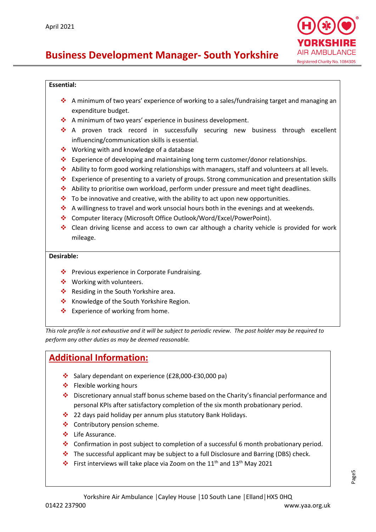

#### **Essential:**

- A minimum of two years' experience of working to a sales/fundraising target and managing an expenditure budget.
- ❖ A minimum of two years' experience in business development.
- \* A proven track record in successfully securing new business through excellent influencing/communication skills is essential.
- $\div$  Working with and knowledge of a database
- Experience of developing and maintaining long term customer/donor relationships.
- ◆ Ability to form good working relationships with managers, staff and volunteers at all levels.
- Experience of presenting to a variety of groups. Strong communication and presentation skills
- Ability to prioritise own workload, perform under pressure and meet tight deadlines.
- $\div$  To be innovative and creative, with the ability to act upon new opportunities.
- $\cdot \cdot$  A willingness to travel and work unsocial hours both in the evenings and at weekends.
- Computer literacy (Microsoft Office Outlook/Word/Excel/PowerPoint).
- ◆ Clean driving license and access to own car although a charity vehicle is provided for work mileage.

#### **Desirable:**

- ◆ Previous experience in Corporate Fundraising.
- ❖ Working with volunteers.
- ❖ Residing in the South Yorkshire area.
- ❖ Knowledge of the South Yorkshire Region.
- ❖ Experience of working from home.

*This role profile is not exhaustive and it will be subject to periodic review. The post holder may be required to perform any other duties as may be deemed reasonable.*

#### **Additional Information:**

- Salary dependant on experience (£28,000-£30,000 pa)
- $\div$  Flexible working hours
- Discretionary annual staff bonus scheme based on the Charity's financial performance and personal KPIs after satisfactory completion of the six month probationary period.
- ❖ 22 days paid holiday per annum plus statutory Bank Holidays.
- ❖ Contributory pension scheme.
- Life Assurance.
- Confirmation in post subject to completion of a successful 6 month probationary period.
- $\div$  The successful applicant may be subject to a full Disclosure and Barring (DBS) check.
- First interviews will take place via Zoom on the 11<sup>th</sup> and 13<sup>th</sup> May 2021